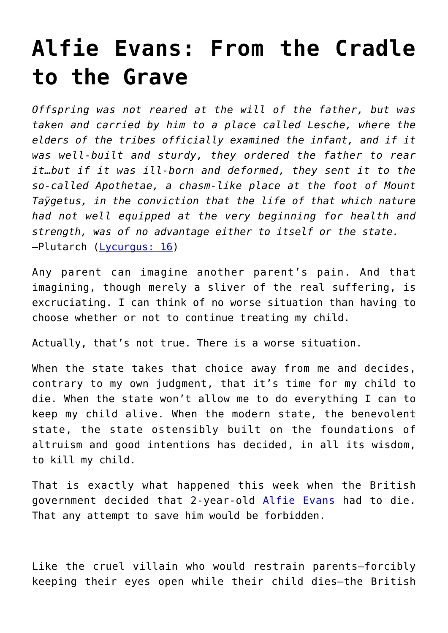## **[Alfie Evans: From the Cradle](https://intellectualtakeout.org/2018/04/alfie-evans-from-the-cradle-to-the-grave/) [to the Grave](https://intellectualtakeout.org/2018/04/alfie-evans-from-the-cradle-to-the-grave/)**

*Offspring was not reared at the will of the father, but was taken and carried by him to a place called Lesche, where the elders of the tribes officially examined the infant, and if it was well-built and sturdy, they ordered the father to rear it…but if it was ill-born and deformed, they sent it to the so-called Apothetae, a chasm-like place at the foot of Mount Taÿgetus, in the conviction that the life of that which nature had not well equipped at the very beginning for health and strength, was of no advantage either to itself or the state.* —Plutarch ([Lycurgus: 16](http://www.perseus.tufts.edu/hopper/text?doc=Perseus%3Atext%3A2008.01.0047%3Achapter%3D16%3Asection%3D1))

Any parent can imagine another parent's pain. And that imagining, though merely a sliver of the real suffering, is excruciating. I can think of no worse situation than having to choose whether or not to continue treating my child.

Actually, that's not true. There is a worse situation.

When the state takes that choice away from me and decides, contrary to my own judgment, that it's time for my child to die. When the state won't allow me to do everything I can to keep my child alive. When the modern state, the benevolent state, the state ostensibly built on the foundations of altruism and good intentions has decided, in all its wisdom, to kill my child.

That is exactly what happened this week when the British government decided that 2-year-old [Alfie Evans](https://www.mirror.co.uk/news/uk-news/alfie-evans-live-updates-toddlers-12416526) had to die. That any attempt to save him would be forbidden.

Like the cruel villain who would restrain parents—forcibly keeping their eyes open while their child dies—the British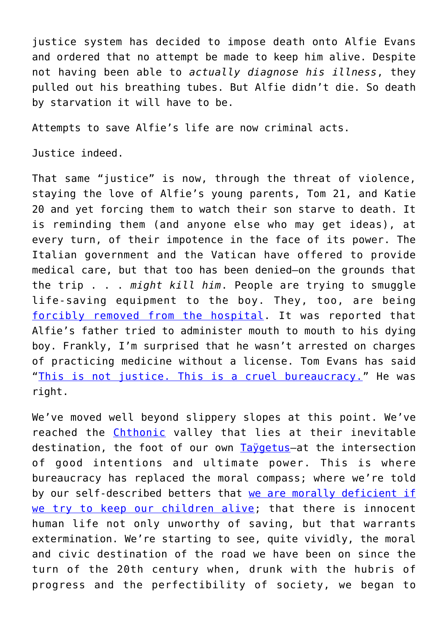justice system has decided to impose death onto Alfie Evans and ordered that no attempt be made to keep him alive. Despite not having been able to *actually diagnose his illness*, they pulled out his breathing tubes. But Alfie didn't die. So death by starvation it will have to be.

Attempts to save Alfie's life are now criminal acts.

Justice indeed.

That same "justice" is now, through the threat of violence, staying the love of Alfie's young parents, Tom 21, and Katie 20 and yet forcing them to watch their son starve to death. It is reminding them (and anyone else who may get ideas), at every turn, of their impotence in the face of its power. The Italian government and the Vatican have offered to provide medical care, but that too has been denied—on the grounds that the trip . . . *might kill him*. People are trying to smuggle life-saving equipment to the boy. They, too, are being [forcibly removed from the hospital.](https://twitter.com/TarheelKrystle/status/989186029801226240) It was reported that Alfie's father tried to administer mouth to mouth to his dying boy. Frankly, I'm surprised that he wasn't arrested on charges of practicing medicine without a license. Tom Evans has said "[This is not justice. This is a cruel bureaucracy.](https://www.thesun.co.uk/news/6079217/alfie-evans-dad-cruel-bureaucracy-air-ambulance-italy/)" He was right.

We've moved well beyond slippery slopes at this point. We've reached the *[Chthonic](https://en.wikipedia.org/wiki/Chthonic)* valley that lies at their inevitable destination, the foot of our own [Taÿgetus—](https://en.wikipedia.org/wiki/Taygetus#History)at the intersection of good intentions and ultimate power. This is where bureaucracy has replaced the moral compass; where we're told by our self-described betters that [we are morally deficient if](https://whyevolutionistrue.wordpress.com/2017/07/13/should-one-be-allowed-to-euthanize-severely-deformed-or-doomed-newborns/) [we try to keep our children alive;](https://whyevolutionistrue.wordpress.com/2017/07/13/should-one-be-allowed-to-euthanize-severely-deformed-or-doomed-newborns/) that there is innocent human life not only unworthy of saving, but that warrants extermination. We're starting to see, quite vividly, the moral and civic destination of the road we have been on since the turn of the 20th century when, drunk with the hubris of progress and the perfectibility of society, we began to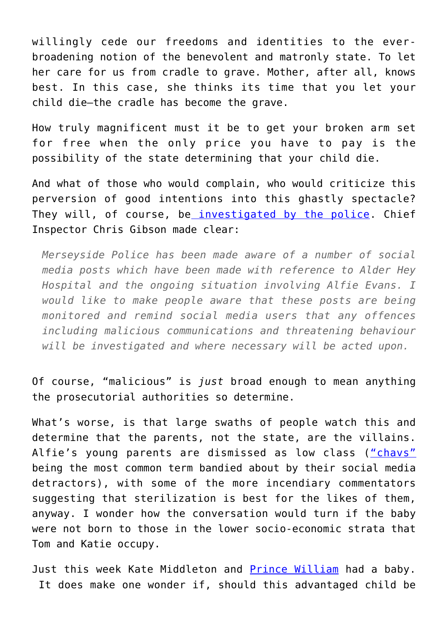willingly cede our freedoms and identities to the everbroadening notion of the benevolent and matronly state. To let her care for us from cradle to grave. Mother, after all, knows best. In this case, she thinks its time that you let your child die—the cradle has become the grave.

How truly magnificent must it be to get your broken arm set for free when the only price you have to pay is the possibility of the state determining that your child die.

And what of those who would complain, who would criticize this perversion of good intentions into this ghastly spectacle? They will, of course, be *investigated by the police*. Chief Inspector Chris Gibson made clear:

*Merseyside Police has been made aware of a number of social media posts which have been made with reference to Alder Hey Hospital and the ongoing situation involving Alfie Evans. I would like to make people aware that these posts are being monitored and remind social media users that any offences including malicious communications and threatening behaviour will be investigated and where necessary will be acted upon.*

Of course, "malicious" is *just* broad enough to mean anything the prosecutorial authorities so determine.

What's worse, is that large swaths of people watch this and determine that the parents, not the state, are the villains. Alfie's young parents are dismissed as low class (["chavs"](https://twitter.com/LucyAmelia27/status/989213484138336259) being the most common term bandied about by their social media detractors), with some of the more incendiary commentators suggesting that sterilization is best for the likes of them, anyway. I wonder how the conversation would turn if the baby were not born to those in the lower socio-economic strata that Tom and Katie occupy.

Just this week Kate Middleton and [Prince William](https://www.elle.com/uk/life-and-culture/culture/news/a39723/prince-william-overpopulation-royal-baby-number-three/) had a baby. It does make one wonder if, should this advantaged child be